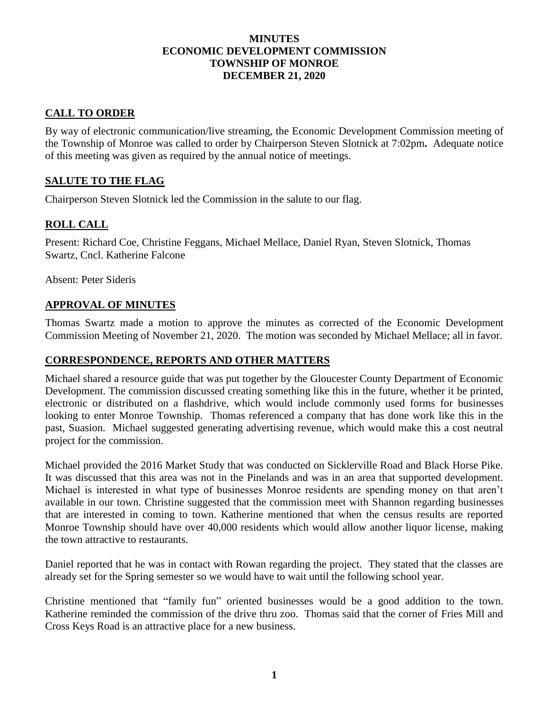## **MINUTES ECONOMIC DEVELOPMENT COMMISSION TOWNSHIP OF MONROE DECEMBER 21, 2020**

# **CALL TO ORDER**

By way of electronic communication/live streaming, the Economic Development Commission meeting of the Township of Monroe was called to order by Chairperson Steven Slotnick at 7:02pm**.** Adequate notice of this meeting was given as required by the annual notice of meetings.

# **SALUTE TO THE FLAG**

Chairperson Steven Slotnick led the Commission in the salute to our flag.

# **ROLL CALL**

Present: Richard Coe, Christine Feggans, Michael Mellace, Daniel Ryan, Steven Slotnick, Thomas Swartz, Cncl. Katherine Falcone

Absent: Peter Sideris

## **APPROVAL OF MINUTES**

Thomas Swartz made a motion to approve the minutes as corrected of the Economic Development Commission Meeting of November 21, 2020. The motion was seconded by Michael Mellace; all in favor.

## **CORRESPONDENCE, REPORTS AND OTHER MATTERS**

Michael shared a resource guide that was put together by the Gloucester County Department of Economic Development. The commission discussed creating something like this in the future, whether it be printed, electronic or distributed on a flashdrive, which would include commonly used forms for businesses looking to enter Monroe Township. Thomas referenced a company that has done work like this in the past, Suasion. Michael suggested generating advertising revenue, which would make this a cost neutral project for the commission.

Michael provided the 2016 Market Study that was conducted on Sicklerville Road and Black Horse Pike. It was discussed that this area was not in the Pinelands and was in an area that supported development. Michael is interested in what type of businesses Monroe residents are spending money on that aren't available in our town. Christine suggested that the commission meet with Shannon regarding businesses that are interested in coming to town. Katherine mentioned that when the census results are reported Monroe Township should have over 40,000 residents which would allow another liquor license, making the town attractive to restaurants.

Daniel reported that he was in contact with Rowan regarding the project. They stated that the classes are already set for the Spring semester so we would have to wait until the following school year.

Christine mentioned that "family fun" oriented businesses would be a good addition to the town. Katherine reminded the commission of the drive thru zoo. Thomas said that the corner of Fries Mill and Cross Keys Road is an attractive place for a new business.